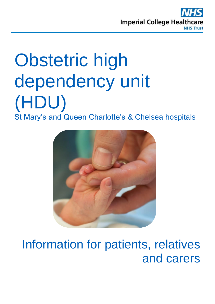

# Obstetric high dependency unit (HDU) St Mary's and Queen Charlotte's & Chelsea hospitals



## Information for patients, relatives and carers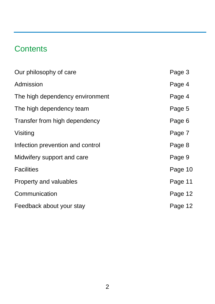### **Contents**

| Our philosophy of care           | Page 3  |
|----------------------------------|---------|
| Admission                        | Page 4  |
| The high dependency environment  | Page 4  |
| The high dependency team         | Page 5  |
| Transfer from high dependency    | Page 6  |
| Visiting                         | Page 7  |
| Infection prevention and control | Page 8  |
| Midwifery support and care       | Page 9  |
| <b>Facilities</b>                | Page 10 |
| Property and valuables           | Page 11 |
| Communication                    | Page 12 |
| Feedback about your stay         | Page 12 |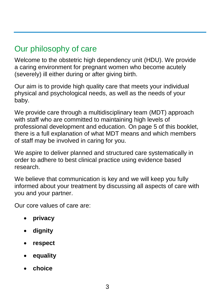### Our philosophy of care

Welcome to the obstetric high dependency unit (HDU). We provide a caring environment for pregnant women who become acutely (severely) ill either during or after giving birth.

Our aim is to provide high quality care that meets your individual physical and psychological needs, as well as the needs of your baby.

We provide care through a multidisciplinary team (MDT) approach with staff who are committed to maintaining high levels of professional development and education. On page 5 of this booklet, there is a full explanation of what MDT means and which members of staff may be involved in caring for you.

We aspire to deliver planned and structured care systematically in order to adhere to best clinical practice using evidence based research.

We believe that communication is key and we will keep you fully informed about your treatment by discussing all aspects of care with you and your partner.

Our core values of care are:

- **privacy**
- **dignity**
- **respect**
- **equality**
- **choice**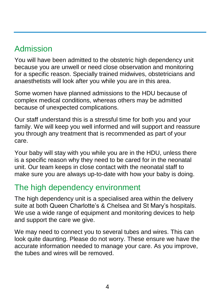### Admission

You will have been admitted to the obstetric high dependency unit because you are unwell or need close observation and monitoring for a specific reason. Specially trained midwives, obstetricians and anaesthetists will look after you while you are in this area.

Some women have planned admissions to the HDU because of complex medical conditions, whereas others may be admitted because of unexpected complications.

Our staff understand this is a stressful time for both you and your family. We will keep you well informed and will support and reassure you through any treatment that is recommended as part of your care.

Your baby will stay with you while you are in the HDU, unless there is a specific reason why they need to be cared for in the neonatal unit. Our team keeps in close contact with the neonatal staff to make sure you are always up-to-date with how your baby is doing.

### The high dependency environment

The high dependency unit is a specialised area within the delivery suite at both Queen Charlotte's & Chelsea and St Mary's hospitals. We use a wide range of equipment and monitoring devices to help and support the care we give.

We may need to connect you to several tubes and wires. This can look quite daunting. Please do not worry. These ensure we have the accurate information needed to manage your care. As you improve, the tubes and wires will be removed.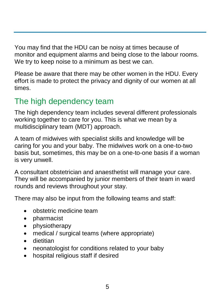You may find that the HDU can be noisy at times because of monitor and equipment alarms and being close to the labour rooms. We try to keep noise to a minimum as best we can.

Please be aware that there may be other women in the HDU. Every effort is made to protect the privacy and dignity of our women at all times.

### The high dependency team

The high dependency team includes several different professionals working together to care for you. This is what we mean by a multidisciplinary team (MDT) approach.

A team of midwives with specialist skills and knowledge will be caring for you and your baby. The midwives work on a one-to-two basis but, sometimes, this may be on a one-to-one basis if a woman is very unwell.

A consultant obstetrician and anaesthetist will manage your care. They will be accompanied by junior members of their team in ward rounds and reviews throughout your stay.

There may also be input from the following teams and staff:

- obstetric medicine team
- pharmacist
- physiotherapy
- medical / surgical teams (where appropriate)
- **•** dietitian
- neonatologist for conditions related to your baby
- hospital religious staff if desired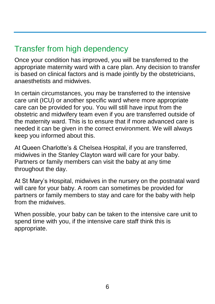### Transfer from high dependency

Once your condition has improved, you will be transferred to the appropriate maternity ward with a care plan. Any decision to transfer is based on clinical factors and is made jointly by the obstetricians, anaesthetists and midwives.

In certain circumstances, you may be transferred to the intensive care unit (ICU) or another specific ward where more appropriate care can be provided for you. You will still have input from the obstetric and midwifery team even if you are transferred outside of the maternity ward. This is to ensure that if more advanced care is needed it can be given in the correct environment. We will always keep you informed about this.

At Queen Charlotte's & Chelsea Hospital, if you are transferred, midwives in the Stanley Clayton ward will care for your baby. Partners or family members can visit the baby at any time throughout the day.

At St Mary's Hospital, midwives in the nursery on the postnatal ward will care for your baby. A room can sometimes be provided for partners or family members to stay and care for the baby with help from the midwives.

When possible, your baby can be taken to the intensive care unit to spend time with you, if the intensive care staff think this is appropriate.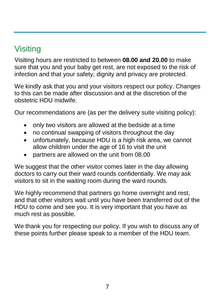### **Visiting**

Visiting hours are restricted to between **08.00 and 20.00** to make sure that you and your baby get rest, are not exposed to the risk of infection and that your safety, dignity and privacy are protected.

We kindly ask that you and your visitors respect our policy. Changes to this can be made after discussion and at the discretion of the obstetric HDU midwife.

Our recommendations are (as per the delivery suite visiting policy):

- only two visitors are allowed at the bedside at a time
- no continual swapping of visitors throughout the day
- unfortunately, because HDU is a high risk area, we cannot allow children under the age of 16 to visit the unit
- partners are allowed on the unit from 08.00

We suggest that the other visitor comes later in the day allowing doctors to carry out their ward rounds confidentially. We may ask visitors to sit in the waiting room during the ward rounds.

We highly recommend that partners go home overnight and rest. and that other visitors wait until you have been transferred out of the HDU to come and see you. It is very important that you have as much rest as possible.

We thank you for respecting our policy. If you wish to discuss any of these points further please speak to a member of the HDU team.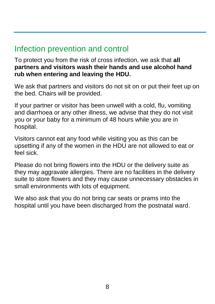### Infection prevention and control

To protect you from the risk of cross infection, we ask that **all partners and visitors wash their hands and use alcohol hand rub when entering and leaving the HDU.**

We ask that partners and visitors do not sit on or put their feet up on the bed. Chairs will be provided.

If your partner or visitor has been unwell with a cold, flu, vomiting and diarrhoea or any other illness, we advise that they do not visit you or your baby for a minimum of 48 hours while you are in hospital.

Visitors cannot eat any food while visiting you as this can be upsetting if any of the women in the HDU are not allowed to eat or feel sick.

Please do not bring flowers into the HDU or the delivery suite as they may aggravate allergies. There are no facilities in the delivery suite to store flowers and they may cause unnecessary obstacles in small environments with lots of equipment.

We also ask that you do not bring car seats or prams into the hospital until you have been discharged from the postnatal ward.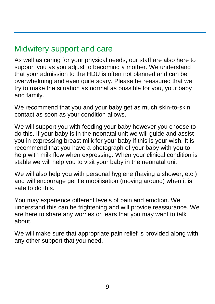### Midwifery support and care

As well as caring for your physical needs, our staff are also here to support you as you adjust to becoming a mother. We understand that your admission to the HDU is often not planned and can be overwhelming and even quite scary. Please be reassured that we try to make the situation as normal as possible for you, your baby and family.

We recommend that you and your baby get as much skin-to-skin contact as soon as your condition allows.

We will support you with feeding your baby however you choose to do this. If your baby is in the neonatal unit we will guide and assist you in expressing breast milk for your baby if this is your wish. It is recommend that you have a photograph of your baby with you to help with milk flow when expressing. When your clinical condition is stable we will help you to visit your baby in the neonatal unit.

We will also help you with personal hygiene (having a shower, etc.) and will encourage gentle mobilisation (moving around) when it is safe to do this.

You may experience different levels of pain and emotion. We understand this can be frightening and will provide reassurance. We are here to share any worries or fears that you may want to talk about.

We will make sure that appropriate pain relief is provided along with any other support that you need.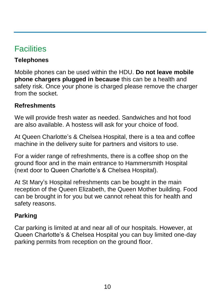### **Facilities**

#### **Telephones**

Mobile phones can be used within the HDU. **Do not leave mobile phone chargers plugged in because** this can be a health and safety risk. Once your phone is charged please remove the charger from the socket.

#### **Refreshments**

We will provide fresh water as needed. Sandwiches and hot food are also available. A hostess will ask for your choice of food.

At Queen Charlotte's & Chelsea Hospital, there is a tea and coffee machine in the delivery suite for partners and visitors to use.

For a wider range of refreshments, there is a coffee shop on the ground floor and in the main entrance to Hammersmith Hospital (next door to Queen Charlotte's & Chelsea Hospital).

At St Mary's Hospital refreshments can be bought in the main reception of the Queen Elizabeth, the Queen Mother building. Food can be brought in for you but we cannot reheat this for health and safety reasons.

#### **Parking**

Car parking is limited at and near all of our hospitals. However, at Queen Charlotte's & Chelsea Hospital you can buy limited one-day parking permits from reception on the ground floor.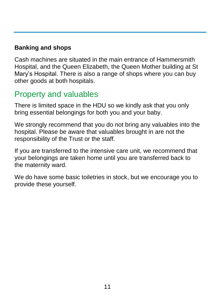#### **Banking and shops**

Cash machines are situated in the main entrance of Hammersmith Hospital, and the Queen Elizabeth, the Queen Mother building at St Mary's Hospital. There is also a range of shops where you can buy other goods at both hospitals.

### Property and valuables

There is limited space in the HDU so we kindly ask that you only bring essential belongings for both you and your baby.

We strongly recommend that you do not bring any valuables into the hospital. Please be aware that valuables brought in are not the responsibility of the Trust or the staff.

If you are transferred to the intensive care unit, we recommend that your belongings are taken home until you are transferred back to the maternity ward.

We do have some basic toiletries in stock, but we encourage you to provide these yourself.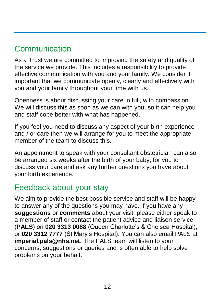### Communication

As a Trust we are committed to improving the safety and quality of the service we provide. This includes a responsibility to provide effective communication with you and your family. We consider it important that we communicate openly, clearly and effectively with you and your family throughout your time with us.

Openness is about discussing your care in full, with compassion. We will discuss this as soon as we can with you, so it can help you and staff cope better with what has happened.

If you feel you need to discuss any aspect of your birth experience and / or care then we will arrange for you to meet the appropriate member of the team to discuss this.

An appointment to speak with your consultant obstetrician can also be arranged six weeks after the birth of your baby, for you to discuss your care and ask any further questions you have about your birth experience.

### Feedback about your stay

We aim to provide the best possible service and staff will be happy to answer any of the questions you may have. If you have any **suggestions** or **comments** about your visit, please either speak to a member of staff or contact the patient advice and liaison service (**PALS**) on **020 3313 0088** (Queen Charlotte's & Chelsea Hospital), or **020 3312 7777** (St Mary's Hospital). You can also email PALS at **imperial.pals@nhs.net**. The PALS team will listen to your concerns, suggestions or queries and is often able to help solve problems on your behalf.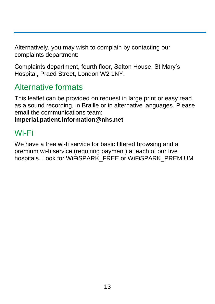Alternatively, you may wish to complain by contacting our complaints department:

Complaints department, fourth floor, Salton House, St Mary's Hospital, Praed Street, London W2 1NY.

### Alternative formats

This leaflet can be provided on request in large print or easy read, as a sound recording, in Braille or in alternative languages. Please email the communications team:

#### **imperial.patient.information@nhs.net**

### Wi-Fi

We have a free wi-fi service for basic filtered browsing and a premium wi-fi service (requiring payment) at each of our five hospitals. Look for WiFiSPARK\_FREE or WiFiSPARK\_PREMIUM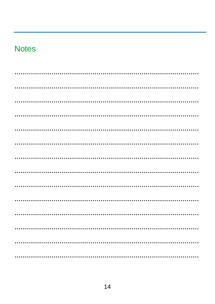### **Notes**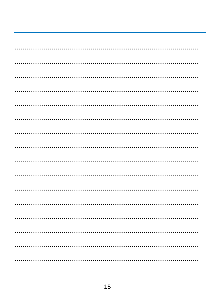$\ddotsc$ <u>. . . . . .</u> . . . . . . . . . . . . . . . . . . . . ......  $\ddot{\phantom{a}}$ <u>. . . . . .</u>